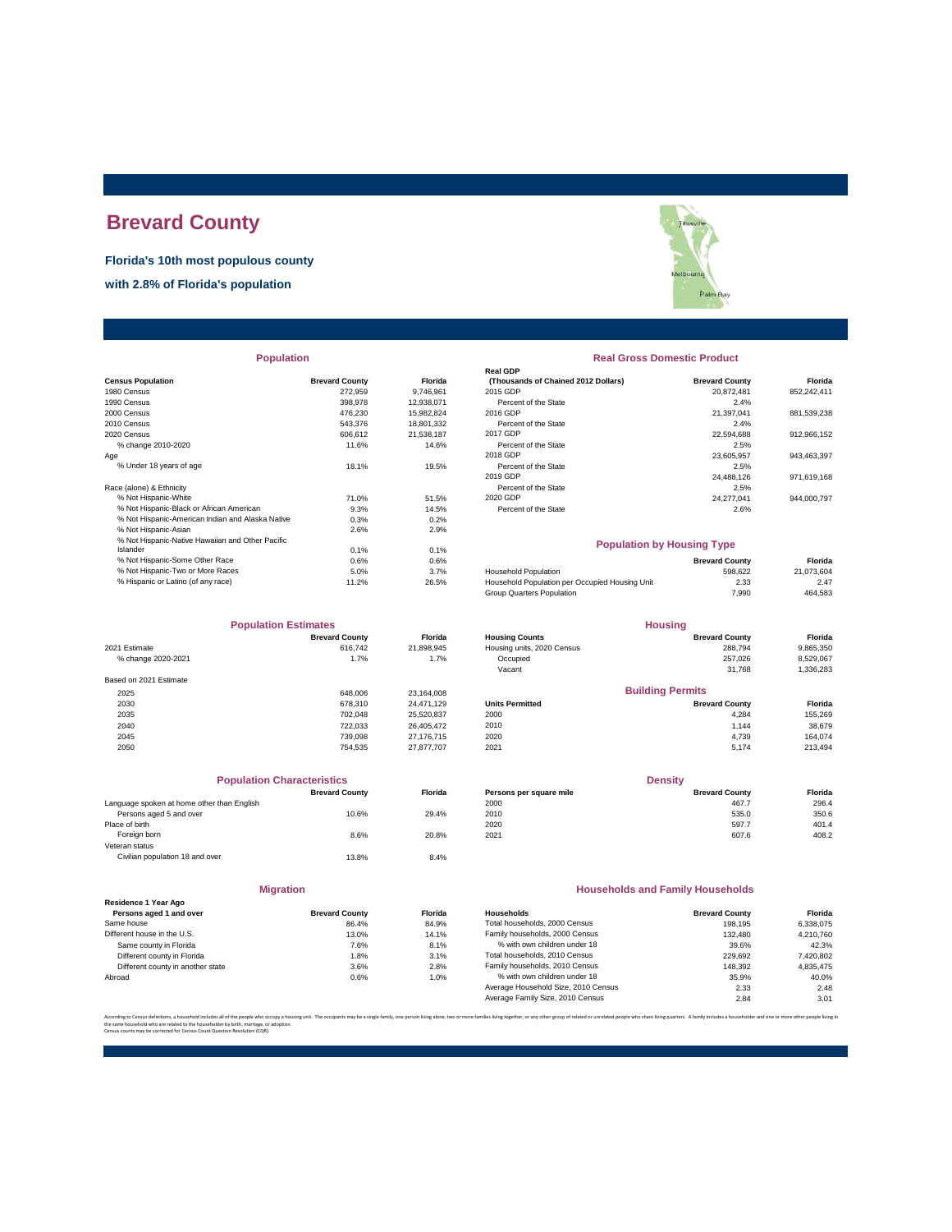# **Brevard County**

**Florida's 10th most populous county**

**with 2.8% of Florida's population**

|                                                  |                       |            | Real GDP                                       |                       |             |
|--------------------------------------------------|-----------------------|------------|------------------------------------------------|-----------------------|-------------|
| <b>Census Population</b>                         | <b>Brevard County</b> | Florida    | (Thousands of Chained 2012 Dollars)            | <b>Brevard County</b> | Florida     |
| 1980 Census                                      | 272.959               | 9.746.961  | 2015 GDP                                       | 20.872.481            | 852.242.411 |
| 1990 Census                                      | 398,978               | 12,938,071 | Percent of the State                           | 2.4%                  |             |
| 2000 Census                                      | 476,230               | 15,982,824 | 2016 GDP                                       | 21,397,041            | 881,539,238 |
| 2010 Census                                      | 543.376               | 18,801,332 | Percent of the State                           | 2.4%                  |             |
| 2020 Census                                      | 606.612               | 21,538,187 | 2017 GDP                                       | 22,594,688            | 912,966,152 |
| % change 2010-2020                               | 11.6%                 | 14.6%      | Percent of the State                           | 2.5%                  |             |
| Age                                              |                       |            | 2018 GDP                                       | 23,605,957            | 943,463,397 |
| % Under 18 years of age                          | 18.1%                 | 19.5%      | Percent of the State                           | 2.5%                  |             |
|                                                  |                       |            | 2019 GDP                                       | 24,488,126            | 971,619,168 |
| Race (alone) & Ethnicity                         |                       |            | Percent of the State                           | 2.5%                  |             |
| % Not Hispanic-White                             | 71.0%                 | 51.5%      | 2020 GDP                                       | 24,277,041            | 944,000,797 |
| % Not Hispanic-Black or African American         | 9.3%                  | 14.5%      | Percent of the State                           | 2.6%                  |             |
| % Not Hispanic-American Indian and Alaska Native | 0.3%                  | 0.2%       |                                                |                       |             |
| % Not Hispanic-Asian                             | 2.6%                  | 2.9%       |                                                |                       |             |
| % Not Hispanic-Native Hawaiian and Other Pacific |                       |            | <b>Population by Housing Type</b>              |                       |             |
| Islander                                         | 0.1%                  | 0.1%       |                                                |                       |             |
| % Not Hispanic-Some Other Race                   | 0.6%                  | 0.6%       |                                                | <b>Brevard County</b> | Florida     |
| % Not Hispanic-Two or More Races                 | 5.0%                  | 3.7%       | <b>Household Population</b>                    | 598.622               | 21,073,604  |
| % Hispanic or Latino (of any race)               | 11.2%                 | 26.5%      | Household Population per Occupied Housing Unit | 2.33                  | 2.47        |
|                                                  |                       |            |                                                |                       |             |

| <b>Population Estimates</b> |                       |            | <b>Housing</b>             |                         |           |
|-----------------------------|-----------------------|------------|----------------------------|-------------------------|-----------|
|                             | <b>Brevard County</b> | Florida    | <b>Housing Counts</b>      | <b>Brevard County</b>   | Florida   |
| 2021 Estimate               | 616.742               | 21,898,945 | Housing units, 2020 Census | 288.794                 | 9,865,350 |
| % change 2020-2021          | 1.7%                  | 1.7%       | Occupied                   | 257.026                 | 8,529,067 |
|                             |                       |            | Vacant                     | 31.768                  | 1,336,283 |
| Based on 2021 Estimate      |                       |            |                            |                         |           |
| 2025                        | 648,006               | 23,164,008 |                            | <b>Building Permits</b> |           |
| 2030                        | 678.310               | 24.471.129 | <b>Units Permitted</b>     | <b>Brevard County</b>   | Florida   |
| 2035                        | 702.048               | 25,520,837 | 2000                       | 4.284                   | 155,269   |
| 2040                        | 722.033               | 26.405.472 | 2010                       | 1.144                   | 38,679    |
| 2045                        | 739.098               | 27,176,715 | 2020                       | 4.739                   | 164.074   |
| 2050                        | 754.535               | 27,877,707 | 2021                       | 5.174                   | 213,494   |

| <b>Population Characteristics</b>          |                       |         |
|--------------------------------------------|-----------------------|---------|
|                                            | <b>Brevard County</b> | Florida |
| Language spoken at home other than English |                       |         |
| Persons aged 5 and over                    | 10.6%                 | 29.4%   |
| Place of birth                             |                       |         |
| Foreign born                               | 8.6%                  | 20.8%   |
| Veteran status                             |                       |         |
| Civilian population 18 and over            | 13.8%                 | 8.4%    |
|                                            |                       |         |

**Migration**

|                                   | --------------        |         |
|-----------------------------------|-----------------------|---------|
| Residence 1 Year Ago              |                       |         |
| Persons aged 1 and over           | <b>Brevard County</b> | Florida |
| Same house                        | 86.4%                 | 84.9%   |
| Different house in the U.S.       | 13.0%                 | 14.1%   |
| Same county in Florida            | 7.6%                  | 8.1%    |
| Different county in Florida       | 1.8%                  | 3.1%    |
| Different county in another state | 3.6%                  | 2.8%    |
| Abroad                            | 0.6%                  | 1.0%    |
|                                   |                       |         |



| <b>Population</b>                                |                       |                | <b>Real Gross Domestic Product</b>  |                       |                |  |
|--------------------------------------------------|-----------------------|----------------|-------------------------------------|-----------------------|----------------|--|
|                                                  |                       |                | <b>Real GDP</b>                     |                       |                |  |
| <b>sus Population</b>                            | <b>Brevard County</b> | <b>Florida</b> | (Thousands of Chained 2012 Dollars) | <b>Brevard County</b> | <b>Florida</b> |  |
| 0 Census                                         | 272.959               | 9.746.961      | 2015 GDP                            | 20.872.481            | 852.242.411    |  |
| 0 Census                                         | 398,978               | 12.938.071     | Percent of the State                | 2.4%                  |                |  |
| 0 Census                                         | 476.230               | 15.982.824     | 2016 GDP                            | 21.397.041            | 881,539,238    |  |
| 0 Census                                         | 543.376               | 18.801.332     | Percent of the State                | 2.4%                  |                |  |
| 0 Census                                         | 606.612               | 21.538.187     | 2017 GDP                            | 22.594.688            | 912.966.152    |  |
| % change 2010-2020                               | 11.6%                 | 14.6%          | Percent of the State                | 2.5%                  |                |  |
|                                                  |                       |                | 2018 GDP                            | 23.605.957            | 943,463,397    |  |
| % Under 18 years of age                          | 18.1%                 | 19.5%          | Percent of the State                | 2.5%                  |                |  |
|                                                  |                       |                | 2019 GDP                            | 24.488.126            | 971.619.168    |  |
| e (alone) & Ethnicity                            |                       |                | Percent of the State                | 2.5%                  |                |  |
| % Not Hispanic-White                             | 71.0%                 | 51.5%          | 2020 GDP                            | 24.277.041            | 944,000,797    |  |
| % Not Hispanic-Black or African American         | 9.3%                  | 14.5%          | Percent of the State                | 2.6%                  |                |  |
| % Not Hispanic-American Indian and Alaska Native | 0.3%                  | 0.2%           |                                     |                       |                |  |
| % Not Hispanic-Asian                             | 2.6%                  | 2.9%           |                                     |                       |                |  |
|                                                  |                       |                |                                     |                       |                |  |

### **Population by Housing Type**

| % Not Hispanic-Some Other Race     | 0.6%  | 0.6%  |                                                | <b>Brevard County</b> | Florida    |
|------------------------------------|-------|-------|------------------------------------------------|-----------------------|------------|
| % Not Hispanic-Two or More Races   | 5.0%  | 3.7%  | <b>Household Population</b>                    | 598.622               | 21.073.604 |
| % Hispanic or Latino (of any race) | 11.2% | 26.5% | Household Population per Occupied Housing Unit | 2.33                  | 2.47       |
|                                    |       |       | Group Quarters Population                      | 7.990                 | 464,583    |
|                                    |       |       |                                                |                       |            |

| <b>Population Estimates</b> |                          |            | <b>Housing</b>             |                         |           |
|-----------------------------|--------------------------|------------|----------------------------|-------------------------|-----------|
|                             | <b>Brevard County</b>    | Florida    | <b>Housing Counts</b>      | <b>Brevard County</b>   | Florida   |
| 2021 Estimate               | 616,742                  | 21.898.945 | Housing units, 2020 Census | 288.794                 | 9,865,350 |
| % change 2020-2021          | 1.7%                     | 1.7%       | Occupied                   | 257.026                 | 8,529,067 |
|                             |                          |            | Vacant                     | 31.768                  | 1,336,283 |
| Based on 2021 Estimate      |                          |            |                            |                         |           |
| 2025                        | 648,006                  | 23.164.008 |                            | <b>Building Permits</b> |           |
| 2030                        | 678,310                  | 24.471.129 | <b>Units Permitted</b>     | <b>Brevard County</b>   | Florida   |
| 2035                        | 702.048                  | 25,520,837 | 2000                       | 4.284                   | 155,269   |
| 2040                        | 722.033                  | 26.405.472 | 2010                       | 1.144                   | 38,679    |
| 0.015                       | $\overline{\phantom{a}}$ | 27.7727    | 0.000                      | $1 - 0$                 | 101071    |

| <b>Population Characteristics</b> |                |                         | <b>Density</b>        |         |
|-----------------------------------|----------------|-------------------------|-----------------------|---------|
| <b>Brevard County</b>             | <b>Florida</b> | Persons per square mile | <b>Brevard County</b> | Florida |
|                                   |                | 2000                    | 467.7                 | 296.4   |
| 10.6%                             | 29.4%          | 2010                    | 535.0                 | 350.6   |
|                                   |                | 2020                    | 597.7                 | 401.4   |
| 8.6%                              | 20.8%          | 2021                    | 607.6                 | 408.2   |
|                                   |                |                         |                       |         |

### **Households and Family Households**

| Residence 1 Year Ago              |                       |                |                                     |                       |           |
|-----------------------------------|-----------------------|----------------|-------------------------------------|-----------------------|-----------|
| Persons aged 1 and over           | <b>Brevard County</b> | <b>Florida</b> | Households                          | <b>Brevard County</b> | Florida   |
| Same house                        | 86.4%                 | 84.9%          | Total households, 2000 Census       | 198.195               | 6.338.075 |
| Different house in the U.S.       | 13.0%                 | 14.1%          | Family households, 2000 Census      | 132.480               | 4.210.760 |
| Same county in Florida            | 7.6%                  | 8.1%           | % with own children under 18        | 39.6%                 | 42.3%     |
| Different county in Florida       | 1.8%                  | 3.1%           | Total households, 2010 Census       | 229.692               | 7,420,802 |
| Different county in another state | 3.6%                  | 2.8%           | Family households, 2010 Census      | 148.392               | 4.835.475 |
| Abroad                            | 0.6%                  | 1.0%           | % with own children under 18        | 35.9%                 | 40.0%     |
|                                   |                       |                | Average Household Size, 2010 Census | 2.33                  | 2.48      |
|                                   |                       |                | Average Family Size, 2010 Census    | 2.84                  | 3.01      |

.<br>Dre families living together, or any other group of related or unrelated people who share living quarters. A family includes a householder and one or more other people l

the same household who are related to the householder by birth, marriage, or adoption. Census counts may be corrected for Census Count Question Resolution (CQR).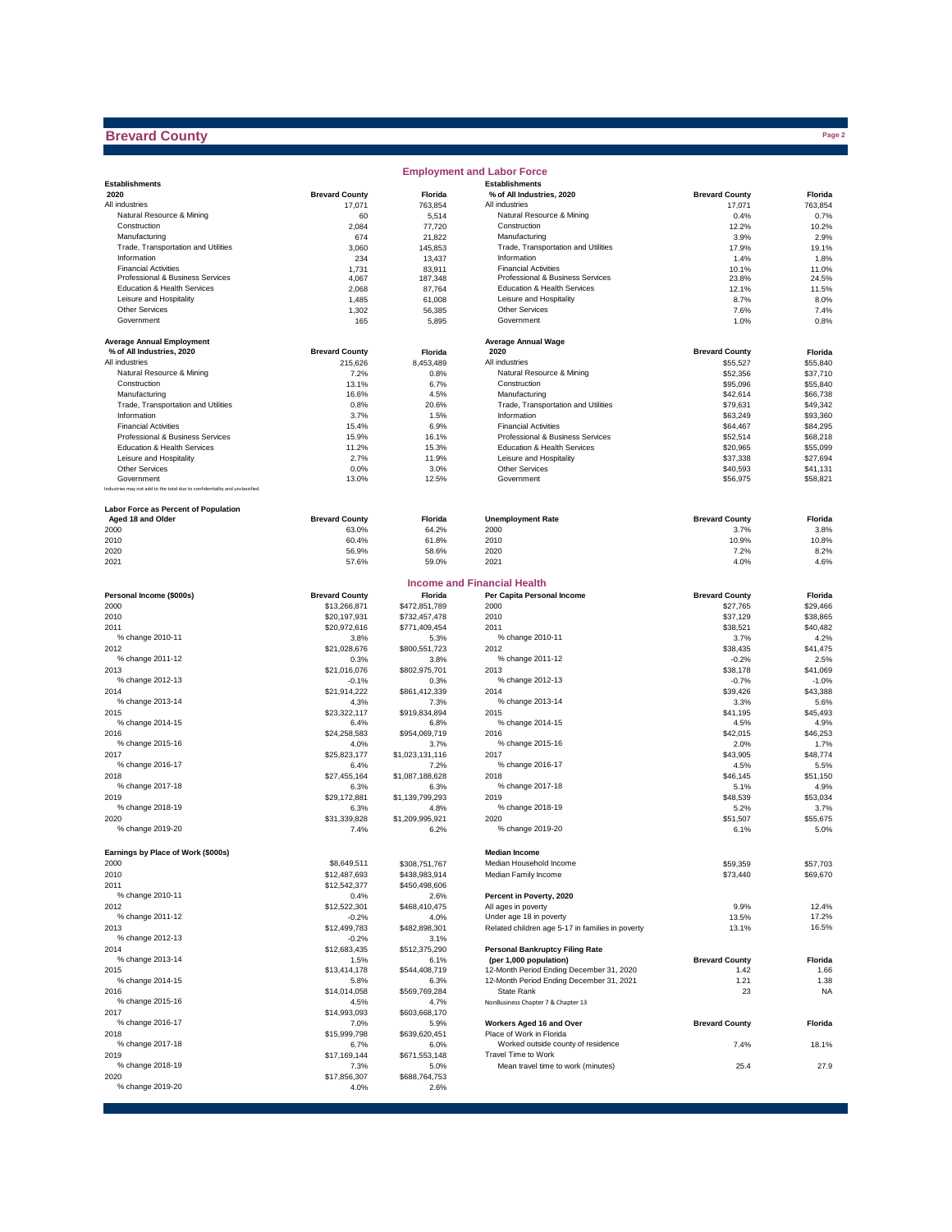# **Brevard County**

|                                                                              |                       |                       | <b>Employment and Labor Force</b>                      |                       |                      |
|------------------------------------------------------------------------------|-----------------------|-----------------------|--------------------------------------------------------|-----------------------|----------------------|
| <b>Establishments</b>                                                        |                       |                       | <b>Establishments</b>                                  |                       |                      |
| 2020                                                                         | <b>Brevard County</b> | Florida               | % of All Industries, 2020                              | <b>Brevard County</b> | Florida              |
| All industries                                                               | 17,071                | 763,854               | All industries                                         | 17,071                | 763.854              |
| Natural Resource & Mining<br>Construction                                    | 60                    | 5,514                 | Natural Resource & Mining<br>Construction              | 0.4%                  | 0.7%<br>10.2%        |
| Manufacturing                                                                | 2,084<br>674          | 77,720<br>21,822      | Manufacturing                                          | 12.2%<br>3.9%         | 2.9%                 |
| Trade, Transportation and Utilities                                          | 3,060                 | 145.853               | Trade, Transportation and Utilities                    | 17.9%                 | 19.1%                |
| Information                                                                  | 234                   | 13,437                | Information                                            | 1.4%                  | 1.8%                 |
| <b>Financial Activities</b>                                                  | 1,731                 | 83,911                | <b>Financial Activities</b>                            | 10.1%                 | 11.0%                |
| Professional & Business Services                                             | 4,067                 | 187,348               | Professional & Business Services                       | 23.8%                 | 24.5%                |
| Education & Health Services                                                  | 2,068                 | 87,764                | Education & Health Services                            | 12.1%                 | 11.5%                |
| Leisure and Hospitality                                                      | 1,485                 | 61,008                | Leisure and Hospitality                                | 8.7%                  | 8.0%                 |
| <b>Other Services</b>                                                        | 1,302                 | 56,385                | Other Services                                         | 7.6%                  | 7.4%                 |
| Government                                                                   | 165                   | 5,895                 | Government                                             | 1.0%                  | 0.8%                 |
|                                                                              |                       |                       |                                                        |                       |                      |
| <b>Average Annual Employment</b>                                             |                       |                       | <b>Average Annual Wage</b>                             |                       |                      |
| % of All Industries, 2020                                                    | <b>Brevard County</b> | Florida               | 2020                                                   | <b>Brevard County</b> | Florida              |
| All industries                                                               | 215,626               | 8,453,489             | All industries                                         | \$55,527              | \$55,840             |
| Natural Resource & Mining                                                    | 7.2%                  | 0.8%                  | Natural Resource & Mining                              | \$52,356              | \$37,710             |
| Construction                                                                 | 13.1%                 | 6.7%                  | Construction                                           | \$95,096              | \$55,840             |
| Manufacturing                                                                | 16.6%                 | 4.5%                  | Manufacturing                                          | \$42,614              | \$66,738             |
| Trade, Transportation and Utilities                                          | 0.8%                  | 20.6%                 | Trade, Transportation and Utilities                    | \$79,631              | \$49,342             |
| Information                                                                  | 3.7%                  | 1.5%                  | Information                                            | \$63,249              | \$93,360             |
| <b>Financial Activities</b>                                                  | 15.4%                 | 6.9%                  | <b>Financial Activities</b>                            | \$64,467              | \$84,295             |
| Professional & Business Services                                             | 15.9%                 | 16.1%                 | Professional & Business Services                       | \$52,514              | \$68,218             |
| Education & Health Services                                                  | 11.2%                 | 15.3%                 | Education & Health Services<br>Leisure and Hospitality | \$20,965              | \$55,099             |
| Leisure and Hospitality                                                      | 2.7%                  | 11.9%                 | Other Services                                         | \$37,338              | \$27,694             |
| <b>Other Services</b><br>Government                                          | 0.0%<br>13.0%         | 3.0%<br>12.5%         | Government                                             | \$40,593<br>\$56,975  | \$41,131<br>\$58,821 |
| Industries may not add to the total due to confidentiality and unclassified. |                       |                       |                                                        |                       |                      |
|                                                                              |                       |                       |                                                        |                       |                      |
| <b>Labor Force as Percent of Population</b>                                  |                       |                       |                                                        |                       |                      |
| Aged 18 and Older                                                            | <b>Brevard County</b> | Florida               | <b>Unemployment Rate</b>                               | <b>Brevard County</b> | Florida              |
| 2000                                                                         | 63.0%                 | 64.2%                 | 2000                                                   | 3.7%                  | 3.8%                 |
| 2010                                                                         | 60.4%                 | 61.8%                 | 2010                                                   | 10.9%                 | 10.8%                |
| 2020                                                                         | 56.9%                 | 58.6%                 | 2020                                                   | 7.2%                  | 8.2%                 |
| 2021                                                                         | 57.6%                 | 59.0%                 | 2021                                                   | 4.0%                  | 4.6%                 |
|                                                                              |                       |                       |                                                        |                       |                      |
|                                                                              |                       |                       | <b>Income and Financial Health</b>                     |                       |                      |
| Personal Income (\$000s)                                                     | <b>Brevard County</b> | Florida               | Per Capita Personal Income                             | <b>Brevard County</b> | Florida              |
| 2000                                                                         | \$13,266,871          | \$472,851,789         | 2000                                                   | \$27,765              | \$29,466             |
| 2010                                                                         | \$20,197,931          | \$732,457,478         | 2010                                                   | \$37,129              | \$38,865             |
| 2011                                                                         | \$20,972,616          | \$771,409,454         | 2011                                                   | \$38,521              | \$40,482             |
| % change 2010-11                                                             | 3.8%                  | 5.3%                  | % change 2010-11                                       | 3.7%                  | 4.2%                 |
| 2012                                                                         | \$21,028,676          | \$800,551,723         | 2012                                                   | \$38,435              | \$41,475             |
| % change 2011-12                                                             | 0.3%                  | 3.8%                  | % change 2011-12                                       | $-0.2%$               | 2.5%                 |
| 2013                                                                         | \$21,016,076          | \$802,975,701         | 2013                                                   | \$38,178              | \$41,069             |
| % change 2012-13                                                             | $-0.1%$               | 0.3%                  | % change 2012-13                                       | $-0.7%$               | $-1.0%$              |
| 2014                                                                         | \$21,914,222          | \$861,412,339         | 2014                                                   | \$39,426              | \$43,388             |
| % change 2013-14                                                             | 4.3%                  | 7.3%                  | % change 2013-14                                       | 3.3%                  | 5.6%                 |
| 2015                                                                         | \$23,322,117          | \$919,834,894         | 2015                                                   | \$41,195              | \$45,493             |
| % change 2014-15                                                             | 6.4%                  | 6.8%                  | % change 2014-15                                       | 4.5%                  | 4.9%                 |
| 2016                                                                         | \$24,258,583          | \$954,069,719         | 2016                                                   | \$42,015              | \$46,253             |
| % change 2015-16                                                             | 4.0%                  | 3.7%                  | % change 2015-16                                       | 2.0%                  | 1.7%                 |
| 2017                                                                         | \$25,823,177          | \$1,023,131,116       | 2017                                                   | \$43,905              | \$48,774             |
| % change 2016-17                                                             | 6.4%                  | 7.2%                  | % change 2016-17                                       | 4.5%                  | 5.5%                 |
| 2018                                                                         | \$27,455,164          | \$1,087,188,628       | 2018                                                   | \$46,145              | \$51,150             |
| % change 2017-18                                                             | 6.3%                  | 6.3%                  | % change 2017-18                                       | 5.1%                  | 4.9%                 |
| 2019                                                                         | \$29,172,881          | \$1,139,799,293       | 2019                                                   | \$48,539              | \$53,034             |
| % change 2018-19                                                             | 6.3%                  | 4.8%                  | % change 2018-19                                       | 5.2%                  | 3.7%                 |
| 2020                                                                         | \$31,339,828          | \$1,209,995,921       | 2020                                                   | \$51,507              | \$55,675             |
| % change 2019-20                                                             | 7.4%                  | 6.2%                  | % change 2019-20                                       | 6.1%                  | 5.0%                 |
|                                                                              |                       |                       |                                                        |                       |                      |
| Earnings by Place of Work (\$000s)                                           |                       |                       | <b>Median Income</b>                                   |                       |                      |
| 2000                                                                         | \$8,649,511           | \$308,751,767         | Median Household Income                                | \$59,359              | \$57,703             |
| 2010                                                                         | \$12,487,693          | \$438,983,914         | Median Family Income                                   | \$73,440              | \$69,670             |
| 2011                                                                         | \$12,542,377          | \$450,498,606         |                                                        |                       |                      |
| % change 2010-11                                                             | 0.4%                  | 2.6%                  | Percent in Poverty, 2020                               |                       |                      |
| 2012                                                                         | \$12,522,301          | \$468,410,475         | All ages in poverty                                    | 9.9%                  | 12.4%                |
| % change 2011-12                                                             | -0.2%                 | 4.0%                  | Under age 18 in poverty                                | 13.5%                 | 17.2%                |
| 2013                                                                         | \$12,499,783          | \$482,898,301         | Related children age 5-17 in families in poverty       | 13.1%                 | 16.5%                |
| % change 2012-13                                                             | $-0.2%$               | 3.1%                  |                                                        |                       |                      |
| 2014                                                                         | \$12,683,435          | \$512,375,290         | <b>Personal Bankruptcy Filing Rate</b>                 |                       |                      |
| % change 2013-14                                                             | 1.5%                  | 6.1%                  | (per 1,000 population)                                 | <b>Brevard County</b> | Florida              |
| 2015<br>% change 2014-15                                                     | \$13,414,178          | \$544,408,719         | 12-Month Period Ending December 31, 2020               | 1.42                  | 1.66                 |
|                                                                              | 5.8%                  | 6.3%                  | 12-Month Period Ending December 31, 2021               | 1.21                  | 1.38                 |
| 2016                                                                         | \$14,014,058          | \$569,769,284         | State Rank                                             | 23                    | <b>NA</b>            |
| % change 2015-16<br>2017                                                     | 4.5%                  | 4.7%                  | NonBusiness Chapter 7 & Chapter 13                     |                       |                      |
| % change 2016-17                                                             | \$14,993,093          | \$603,668,170         | Workers Aged 16 and Over                               | <b>Brevard County</b> |                      |
| 2018                                                                         | 7.0%<br>\$15,999,798  | 5.9%<br>\$639,620,451 | Place of Work in Florida                               |                       | Florida              |
| % change 2017-18                                                             |                       |                       | Worked outside county of residence                     | 7.4%                  | 18.1%                |
| 2019                                                                         | 6.7%<br>\$17,169,144  | 6.0%<br>\$671,553,148 | Travel Time to Work                                    |                       |                      |
| % change 2018-19                                                             |                       | 5.0%                  | Mean travel time to work (minutes)                     | 25.4                  | 27.9                 |
| 2020                                                                         | 7.3%<br>\$17,856,307  | \$688,764,753         |                                                        |                       |                      |
| % change 2019-20                                                             | 4.0%                  | 2.6%                  |                                                        |                       |                      |
|                                                                              |                       |                       |                                                        |                       |                      |